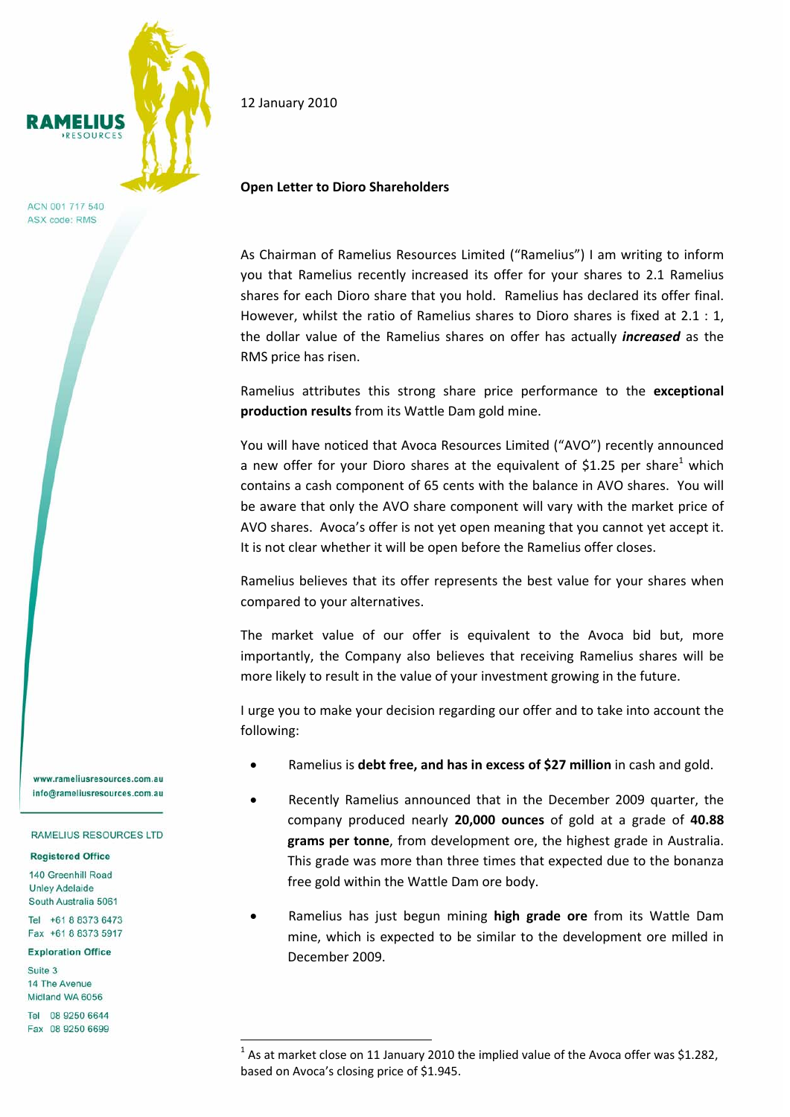

ACN 001 717 540 ASX code: RMS

12 January 2010

## **Open Letter to Dioro Shareholders**

As Chairman of Ramelius Resources Limited ("Ramelius") I am writing to inform you that Ramelius recently increased its offer for your shares to 2.1 Ramelius shares for each Dioro share that you hold. Ramelius has declared its offer final. However, whilst the ratio of Ramelius shares to Dioro shares is fixed at 2.1 : 1, the dollar value of the Ramelius shares on offer has actually *increased* as the RMS price has risen.

Ramelius attributes this strong share price performance to the **exceptional production results** from its Wattle Dam gold mine.

You will have noticed that Avoca Resources Limited ("AVO") recently announced a new offer for your Dioro shares at the equivalent of \$1.25 per share<sup>1</sup> which contains a cash component of 65 cents with the balance in AVO shares. You will be aware that only the AVO share component will vary with the market price of AVO shares. Avoca's offer is not yet open meaning that you cannot yet accept it. It is not clear whether it will be open before the Ramelius offer closes.

Ramelius believes that its offer represents the best value for your shares when compared to your alternatives.

The market value of our offer is equivalent to the Avoca bid but, more importantly, the Company also believes that receiving Ramelius shares will be more likely to result in the value of your investment growing in the future.

I urge you to make your decision regarding our offer and to take into account the following:

- Ramelius is **debt free, and has in excess of \$27 million** in cash and gold.
- Recently Ramelius announced that in the December 2009 quarter, the company produced nearly **20,000 ounces** of gold at a grade of **40.88 grams per tonne**, from development ore, the highest grade in Australia. This grade was more than three times that expected due to the bonanza free gold within the Wattle Dam ore body.
- Ramelius has just begun mining **high grade ore** from its Wattle Dam mine, which is expected to be similar to the development ore milled in December 2009.

www.rameliusresources.com.au info@rameliusresources.com.au

## RAMELIUS RESOURCES LTD

## **Registered Office**

140 Greenhill Road **Unley Adelaide** South Australia 5061

Tel +61 8 8373 6473 Fax +61 8 8373 5917

## **Exploration Office**

Suite 3 14 The Avenue Midland WA 6056

Tel 08 9250 6644 Fax 08 9250 6699

—<br>—

 $1$  As at market close on 11 January 2010 the implied value of the Avoca offer was \$1.282, based on Avoca's closing price of \$1.945.